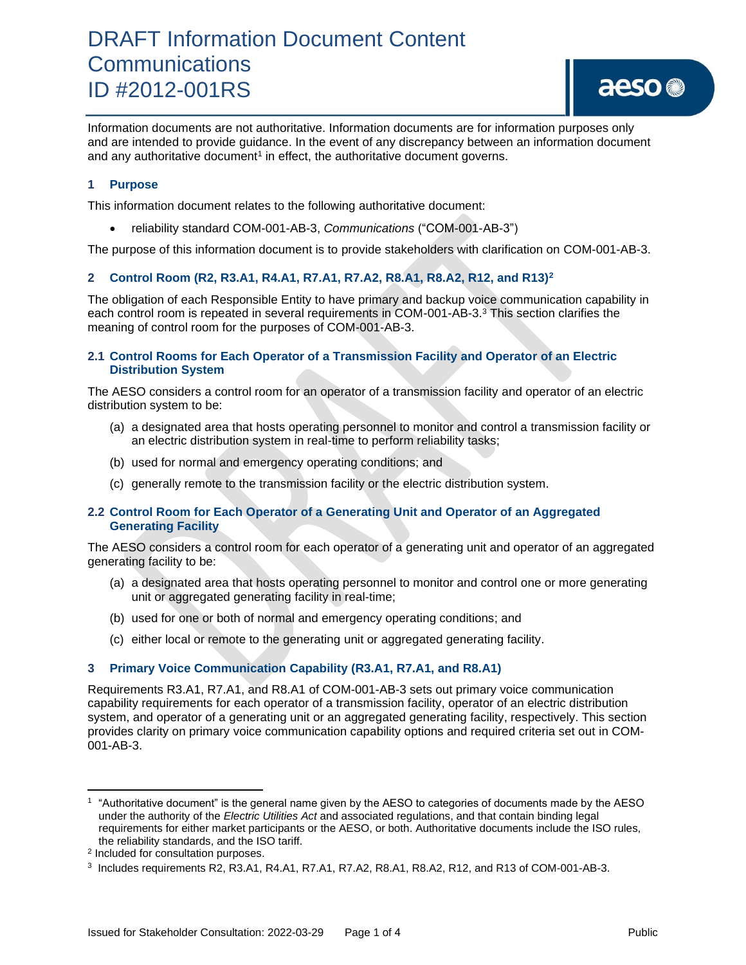Information documents are not authoritative. Information documents are for information purposes only and are intended to provide guidance. In the event of any discrepancy between an information document and any authoritative document<sup>1</sup> in effect, the authoritative document governs.

### **1 Purpose**

This information document relates to the following authoritative document:

• reliability standard COM-001-AB-3, *Communications* ("COM-001-AB-3")

The purpose of this information document is to provide stakeholders with clarification on COM-001-AB-3.

## **2 Control Room (R2, R3.A1, R4.A1, R7.A1, R7.A2, R8.A1, R8.A2, R12, and R13)<sup>2</sup>**

The obligation of each Responsible Entity to have primary and backup voice communication capability in each control room is repeated in several requirements in COM-001-AB-3.<sup>3</sup> This section clarifies the meaning of control room for the purposes of COM-001-AB-3.

### **2.1 Control Rooms for Each Operator of a Transmission Facility and Operator of an Electric Distribution System**

The AESO considers a control room for an operator of a transmission facility and operator of an electric distribution system to be:

- (a) a designated area that hosts operating personnel to monitor and control a transmission facility or an electric distribution system in real-time to perform reliability tasks;
- (b) used for normal and emergency operating conditions; and
- (c) generally remote to the transmission facility or the electric distribution system.

#### **2.2 Control Room for Each Operator of a Generating Unit and Operator of an Aggregated Generating Facility**

The AESO considers a control room for each operator of a generating unit and operator of an aggregated generating facility to be:

- (a) a designated area that hosts operating personnel to monitor and control one or more generating unit or aggregated generating facility in real-time;
- (b) used for one or both of normal and emergency operating conditions; and
- (c) either local or remote to the generating unit or aggregated generating facility.

#### **3 Primary Voice Communication Capability (R3.A1, R7.A1, and R8.A1)**

Requirements R3.A1, R7.A1, and R8.A1 of COM-001-AB-3 sets out primary voice communication capability requirements for each operator of a transmission facility, operator of an electric distribution system, and operator of a generating unit or an aggregated generating facility, respectively. This section provides clarity on primary voice communication capability options and required criteria set out in COM-001-AB-3.

<sup>1</sup> "Authoritative document" is the general name given by the AESO to categories of documents made by the AESO under the authority of the *Electric Utilities Act* and associated regulations, and that contain binding legal requirements for either market participants or the AESO, or both. Authoritative documents include the ISO rules, the reliability standards, and the ISO tariff.

<sup>2</sup> Included for consultation purposes.

<sup>3</sup> Includes requirements R2, R3.A1, R4.A1, R7.A1, R7.A2, R8.A1, R8.A2, R12, and R13 of COM-001-AB-3.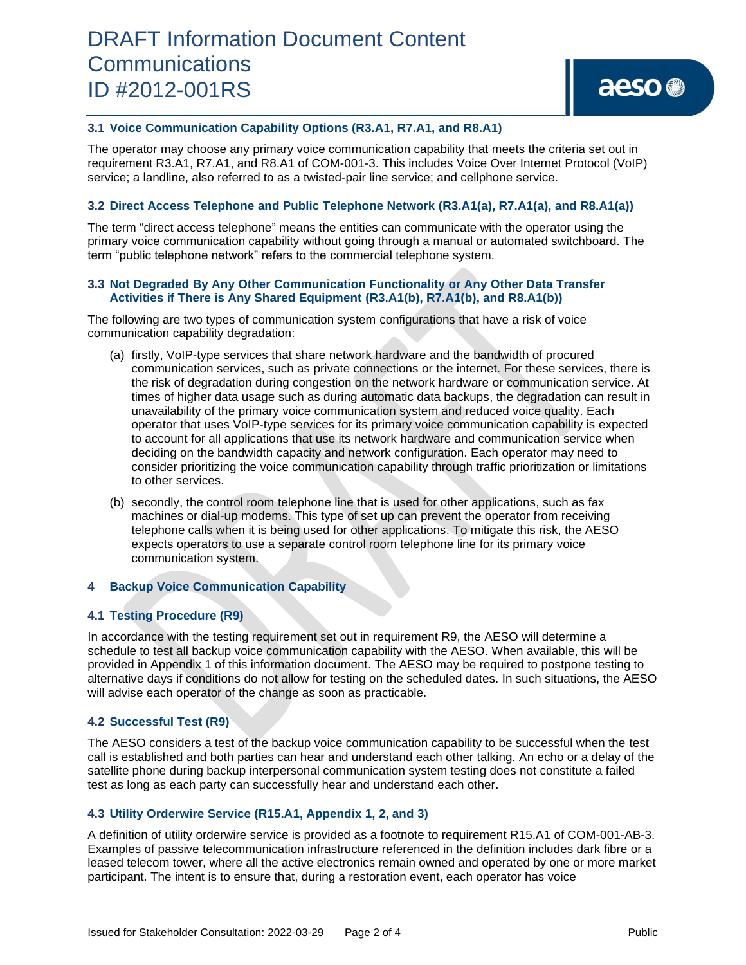#### **3.1 Voice Communication Capability Options (R3.A1, R7.A1, and R8.A1)**

The operator may choose any primary voice communication capability that meets the criteria set out in requirement R3.A1, R7.A1, and R8.A1 of COM-001-3. This includes Voice Over Internet Protocol (VoIP) service; a landline, also referred to as a twisted-pair line service; and cellphone service.

#### **3.2 Direct Access Telephone and Public Telephone Network (R3.A1(a), R7.A1(a), and R8.A1(a))**

The term "direct access telephone" means the entities can communicate with the operator using the primary voice communication capability without going through a manual or automated switchboard. The term "public telephone network" refers to the commercial telephone system.

#### **3.3 Not Degraded By Any Other Communication Functionality or Any Other Data Transfer Activities if There is Any Shared Equipment (R3.A1(b), R7.A1(b), and R8.A1(b))**

The following are two types of communication system configurations that have a risk of voice communication capability degradation:

- (a) firstly, VoIP-type services that share network hardware and the bandwidth of procured communication services, such as private connections or the internet. For these services, there is the risk of degradation during congestion on the network hardware or communication service. At times of higher data usage such as during automatic data backups, the degradation can result in unavailability of the primary voice communication system and reduced voice quality. Each operator that uses VoIP-type services for its primary voice communication capability is expected to account for all applications that use its network hardware and communication service when deciding on the bandwidth capacity and network configuration. Each operator may need to consider prioritizing the voice communication capability through traffic prioritization or limitations to other services.
- (b) secondly, the control room telephone line that is used for other applications, such as fax machines or dial-up modems. This type of set up can prevent the operator from receiving telephone calls when it is being used for other applications. To mitigate this risk, the AESO expects operators to use a separate control room telephone line for its primary voice communication system.

#### **4 Backup Voice Communication Capability**

#### **4.1 Testing Procedure (R9)**

In accordance with the testing requirement set out in requirement R9, the AESO will determine a schedule to test all backup voice communication capability with the AESO. When available, this will be provided in Appendix 1 of this information document. The AESO may be required to postpone testing to alternative days if conditions do not allow for testing on the scheduled dates. In such situations, the AESO will advise each operator of the change as soon as practicable.

#### **4.2 Successful Test (R9)**

The AESO considers a test of the backup voice communication capability to be successful when the test call is established and both parties can hear and understand each other talking. An echo or a delay of the satellite phone during backup interpersonal communication system testing does not constitute a failed test as long as each party can successfully hear and understand each other.

#### **4.3 Utility Orderwire Service (R15.A1, Appendix 1, 2, and 3)**

A definition of utility orderwire service is provided as a footnote to requirement R15.A1 of COM-001-AB-3. Examples of passive telecommunication infrastructure referenced in the definition includes dark fibre or a leased telecom tower, where all the active electronics remain owned and operated by one or more market participant. The intent is to ensure that, during a restoration event, each operator has voice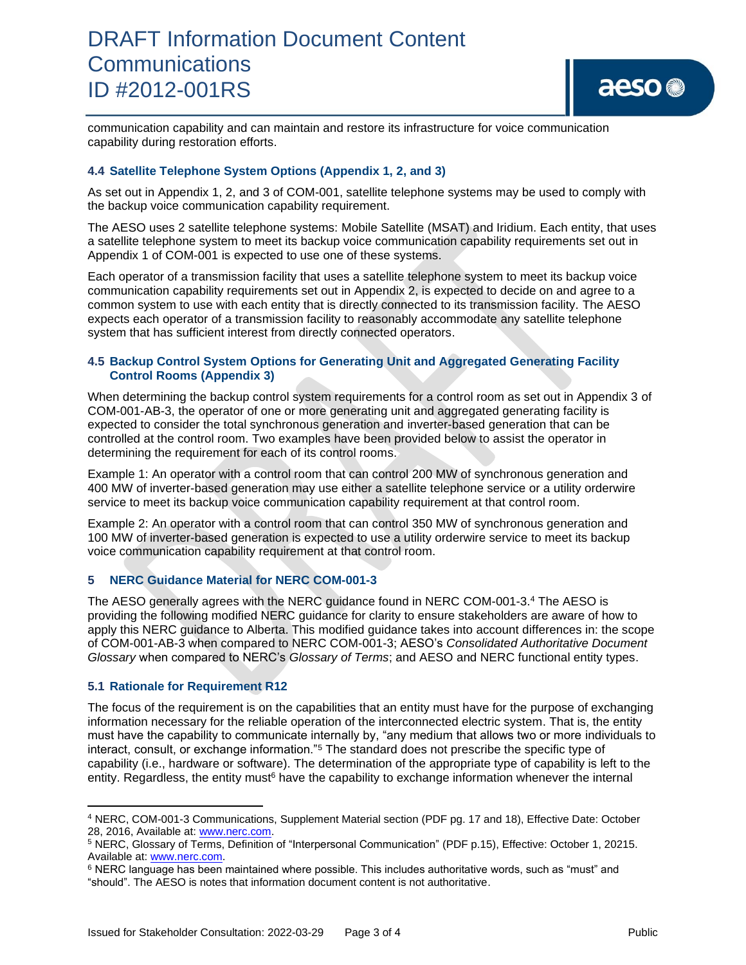

communication capability and can maintain and restore its infrastructure for voice communication capability during restoration efforts.

### **4.4 Satellite Telephone System Options (Appendix 1, 2, and 3)**

As set out in Appendix 1, 2, and 3 of COM-001, satellite telephone systems may be used to comply with the backup voice communication capability requirement.

The AESO uses 2 satellite telephone systems: Mobile Satellite (MSAT) and Iridium. Each entity, that uses a satellite telephone system to meet its backup voice communication capability requirements set out in Appendix 1 of COM-001 is expected to use one of these systems.

Each operator of a transmission facility that uses a satellite telephone system to meet its backup voice communication capability requirements set out in Appendix 2, is expected to decide on and agree to a common system to use with each entity that is directly connected to its transmission facility. The AESO expects each operator of a transmission facility to reasonably accommodate any satellite telephone system that has sufficient interest from directly connected operators.

#### **4.5 Backup Control System Options for Generating Unit and Aggregated Generating Facility Control Rooms (Appendix 3)**

When determining the backup control system requirements for a control room as set out in Appendix 3 of COM-001-AB-3, the operator of one or more generating unit and aggregated generating facility is expected to consider the total synchronous generation and inverter-based generation that can be controlled at the control room. Two examples have been provided below to assist the operator in determining the requirement for each of its control rooms.

Example 1: An operator with a control room that can control 200 MW of synchronous generation and 400 MW of inverter-based generation may use either a satellite telephone service or a utility orderwire service to meet its backup voice communication capability requirement at that control room.

Example 2: An operator with a control room that can control 350 MW of synchronous generation and 100 MW of inverter-based generation is expected to use a utility orderwire service to meet its backup voice communication capability requirement at that control room.

#### **5 NERC Guidance Material for NERC COM-001-3**

The AESO generally agrees with the NERC guidance found in NERC COM-001-3.<sup>4</sup> The AESO is providing the following modified NERC guidance for clarity to ensure stakeholders are aware of how to apply this NERC guidance to Alberta. This modified guidance takes into account differences in: the scope of COM-001-AB-3 when compared to NERC COM-001-3; AESO's *Consolidated Authoritative Document Glossary* when compared to NERC's *Glossary of Terms*; and AESO and NERC functional entity types.

#### **5.1 Rationale for Requirement R12**

The focus of the requirement is on the capabilities that an entity must have for the purpose of exchanging information necessary for the reliable operation of the interconnected electric system. That is, the entity must have the capability to communicate internally by, "any medium that allows two or more individuals to interact, consult, or exchange information."<sup>5</sup> The standard does not prescribe the specific type of capability (i.e., hardware or software). The determination of the appropriate type of capability is left to the entity. Regardless, the entity must<sup>6</sup> have the capability to exchange information whenever the internal

<sup>4</sup> NERC, COM-001-3 Communications, Supplement Material section (PDF pg. 17 and 18), Effective Date: October 28, 2016, Available at[: www.nerc.com.](http://www.nerc.com/)

<sup>5</sup> NERC, Glossary of Terms, Definition of "Interpersonal Communication" (PDF p.15), Effective: October 1, 20215. Available at[: www.nerc.com.](http://www.nerc.com/)

<sup>6</sup> NERC language has been maintained where possible. This includes authoritative words, such as "must" and "should". The AESO is notes that information document content is not authoritative.